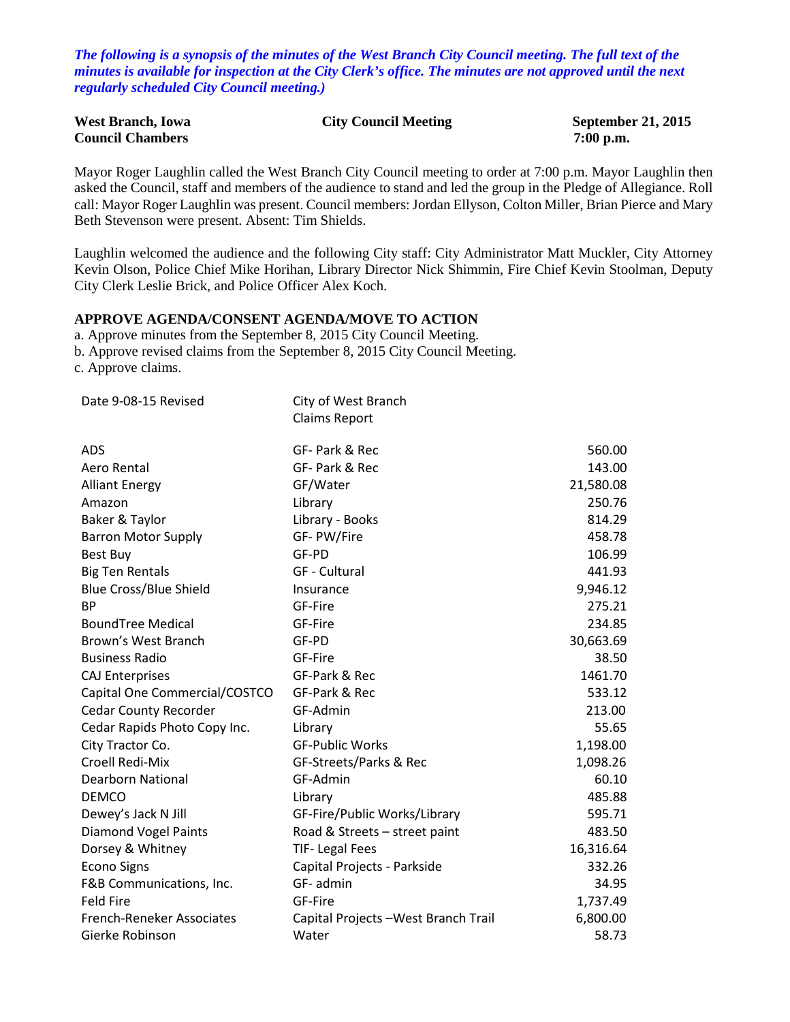*The following is a synopsis of the minutes of the West Branch City Council meeting. The full text of the minutes is available for inspection at the City Clerk's office. The minutes are not approved until the next regularly scheduled City Council meeting.)*

| <b>West Branch, Iowa</b> | <b>City Council Meeting</b> | <b>September 21, 2015</b> |
|--------------------------|-----------------------------|---------------------------|
| <b>Council Chambers</b>  |                             | $7:00$ p.m.               |

Mayor Roger Laughlin called the West Branch City Council meeting to order at 7:00 p.m. Mayor Laughlin then asked the Council, staff and members of the audience to stand and led the group in the Pledge of Allegiance. Roll call: Mayor Roger Laughlin was present. Council members: Jordan Ellyson, Colton Miller, Brian Pierce and Mary Beth Stevenson were present. Absent: Tim Shields.

Laughlin welcomed the audience and the following City staff: City Administrator Matt Muckler, City Attorney Kevin Olson, Police Chief Mike Horihan, Library Director Nick Shimmin, Fire Chief Kevin Stoolman, Deputy City Clerk Leslie Brick, and Police Officer Alex Koch.

## **APPROVE AGENDA/CONSENT AGENDA/MOVE TO ACTION**

a. Approve minutes from the September 8, 2015 City Council Meeting.

b. Approve revised claims from the September 8, 2015 City Council Meeting.

c. Approve claims.

| Date 9-08-15 Revised          | City of West Branch                  |           |
|-------------------------------|--------------------------------------|-----------|
|                               | <b>Claims Report</b>                 |           |
| <b>ADS</b>                    | GF- Park & Rec                       | 560.00    |
| Aero Rental                   | GF- Park & Rec                       | 143.00    |
| <b>Alliant Energy</b>         | GF/Water                             | 21,580.08 |
| Amazon                        | Library                              | 250.76    |
| Baker & Taylor                | Library - Books                      | 814.29    |
| <b>Barron Motor Supply</b>    | GF-PW/Fire                           | 458.78    |
| Best Buy                      | GF-PD                                | 106.99    |
| <b>Big Ten Rentals</b>        | <b>GF</b> - Cultural                 | 441.93    |
| <b>Blue Cross/Blue Shield</b> | Insurance                            | 9,946.12  |
| <b>BP</b>                     | GF-Fire                              | 275.21    |
| <b>BoundTree Medical</b>      | GF-Fire                              | 234.85    |
| Brown's West Branch           | GF-PD                                | 30,663.69 |
| <b>Business Radio</b>         | GF-Fire                              | 38.50     |
| <b>CAJ Enterprises</b>        | GF-Park & Rec                        | 1461.70   |
| Capital One Commercial/COSTCO | GF-Park & Rec                        | 533.12    |
| <b>Cedar County Recorder</b>  | GF-Admin                             | 213.00    |
| Cedar Rapids Photo Copy Inc.  | Library                              | 55.65     |
| City Tractor Co.              | <b>GF-Public Works</b>               | 1,198.00  |
| Croell Redi-Mix               | GF-Streets/Parks & Rec               | 1,098.26  |
| <b>Dearborn National</b>      | GF-Admin                             | 60.10     |
| <b>DEMCO</b>                  | Library                              | 485.88    |
| Dewey's Jack N Jill           | GF-Fire/Public Works/Library         | 595.71    |
| <b>Diamond Vogel Paints</b>   | Road & Streets - street paint        | 483.50    |
| Dorsey & Whitney              | <b>TIF-Legal Fees</b>                | 16,316.64 |
| <b>Econo Signs</b>            | Capital Projects - Parkside          | 332.26    |
| F&B Communications, Inc.      | GF-admin                             | 34.95     |
| <b>Feld Fire</b>              | GF-Fire                              | 1,737.49  |
| French-Reneker Associates     | Capital Projects - West Branch Trail | 6,800.00  |
| Gierke Robinson               | Water                                | 58.73     |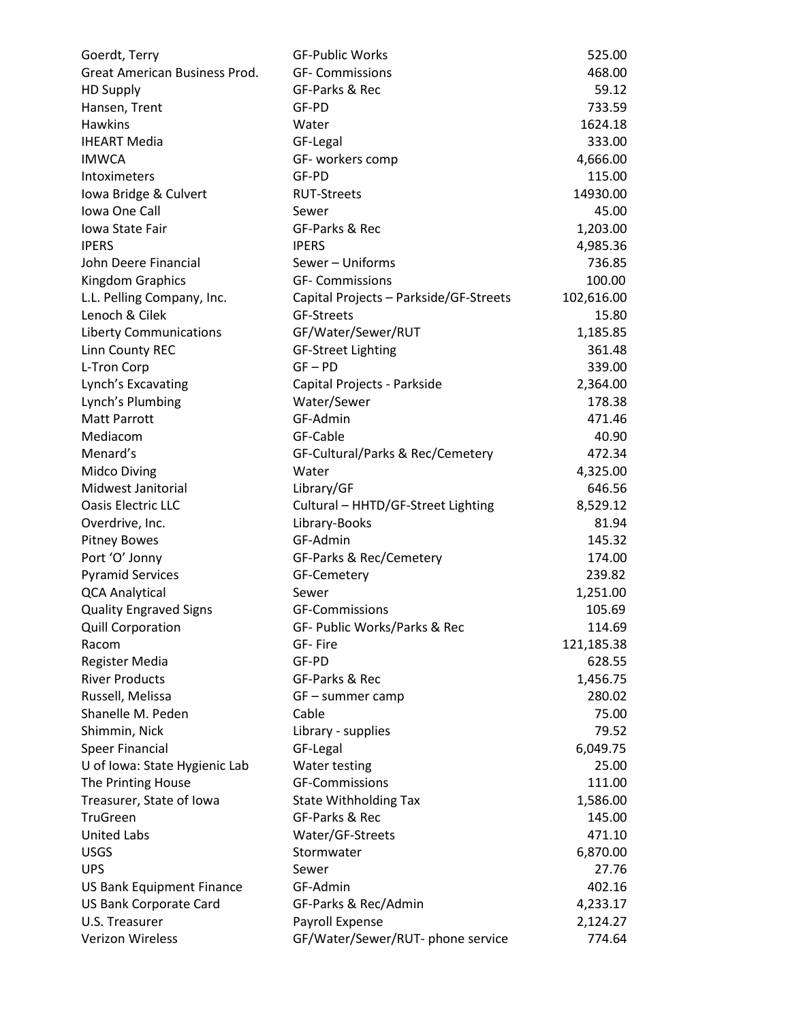| Goerdt, Terry                    | <b>GF-Public Works</b>                 | 525.00     |
|----------------------------------|----------------------------------------|------------|
| Great American Business Prod.    | <b>GF- Commissions</b>                 | 468.00     |
| <b>HD Supply</b>                 | GF-Parks & Rec                         | 59.12      |
| Hansen, Trent                    | GF-PD                                  | 733.59     |
| Hawkins                          | Water                                  | 1624.18    |
| <b>IHEART Media</b>              | GF-Legal                               | 333.00     |
| <b>IMWCA</b>                     | GF- workers comp                       | 4,666.00   |
| Intoximeters                     | GF-PD                                  | 115.00     |
| Iowa Bridge & Culvert            | <b>RUT-Streets</b>                     | 14930.00   |
| Iowa One Call                    | Sewer                                  | 45.00      |
| Iowa State Fair                  | GF-Parks & Rec                         | 1,203.00   |
| <b>IPERS</b>                     | <b>IPERS</b>                           | 4,985.36   |
| John Deere Financial             | Sewer - Uniforms                       | 736.85     |
| Kingdom Graphics                 | <b>GF- Commissions</b>                 | 100.00     |
| L.L. Pelling Company, Inc.       | Capital Projects - Parkside/GF-Streets | 102,616.00 |
| Lenoch & Cilek                   | GF-Streets                             | 15.80      |
| <b>Liberty Communications</b>    | GF/Water/Sewer/RUT                     | 1,185.85   |
| Linn County REC                  | <b>GF-Street Lighting</b>              | 361.48     |
| L-Tron Corp                      | $GF - PD$                              | 339.00     |
| Lynch's Excavating               | Capital Projects - Parkside            | 2,364.00   |
| Lynch's Plumbing                 | Water/Sewer                            | 178.38     |
| <b>Matt Parrott</b>              | GF-Admin                               | 471.46     |
| Mediacom                         | GF-Cable                               | 40.90      |
| Menard's                         | GF-Cultural/Parks & Rec/Cemetery       | 472.34     |
| <b>Midco Diving</b>              | Water                                  | 4,325.00   |
| Midwest Janitorial               | Library/GF                             | 646.56     |
| Oasis Electric LLC               | Cultural - HHTD/GF-Street Lighting     | 8,529.12   |
| Overdrive, Inc.                  | Library-Books                          | 81.94      |
| <b>Pitney Bowes</b>              | GF-Admin                               | 145.32     |
| Port 'O' Jonny                   | GF-Parks & Rec/Cemetery                | 174.00     |
| <b>Pyramid Services</b>          | GF-Cemetery                            | 239.82     |
| <b>QCA Analytical</b>            | Sewer                                  | 1,251.00   |
| <b>Quality Engraved Signs</b>    | <b>GF-Commissions</b>                  | 105.69     |
| <b>Quill Corporation</b>         | GF- Public Works/Parks & Rec           | 114.69     |
| Racom                            | GF-Fire                                | 121,185.38 |
| <b>Register Media</b>            | GF-PD                                  | 628.55     |
| <b>River Products</b>            | GF-Parks & Rec                         | 1,456.75   |
| Russell, Melissa                 | $GF - summer camp$                     | 280.02     |
| Shanelle M. Peden                | Cable                                  | 75.00      |
| Shimmin, Nick                    | Library - supplies                     | 79.52      |
| <b>Speer Financial</b>           | GF-Legal                               | 6,049.75   |
| U of Iowa: State Hygienic Lab    | Water testing                          | 25.00      |
| The Printing House               | <b>GF-Commissions</b>                  | 111.00     |
| Treasurer, State of Iowa         | <b>State Withholding Tax</b>           | 1,586.00   |
| <b>TruGreen</b>                  | GF-Parks & Rec                         | 145.00     |
| <b>United Labs</b>               | Water/GF-Streets                       | 471.10     |
| <b>USGS</b>                      | Stormwater                             | 6,870.00   |
| <b>UPS</b>                       | Sewer                                  | 27.76      |
| <b>US Bank Equipment Finance</b> | GF-Admin                               | 402.16     |
| US Bank Corporate Card           | GF-Parks & Rec/Admin                   | 4,233.17   |
| U.S. Treasurer                   | Payroll Expense                        | 2,124.27   |
| Verizon Wireless                 | GF/Water/Sewer/RUT- phone service      | 774.64     |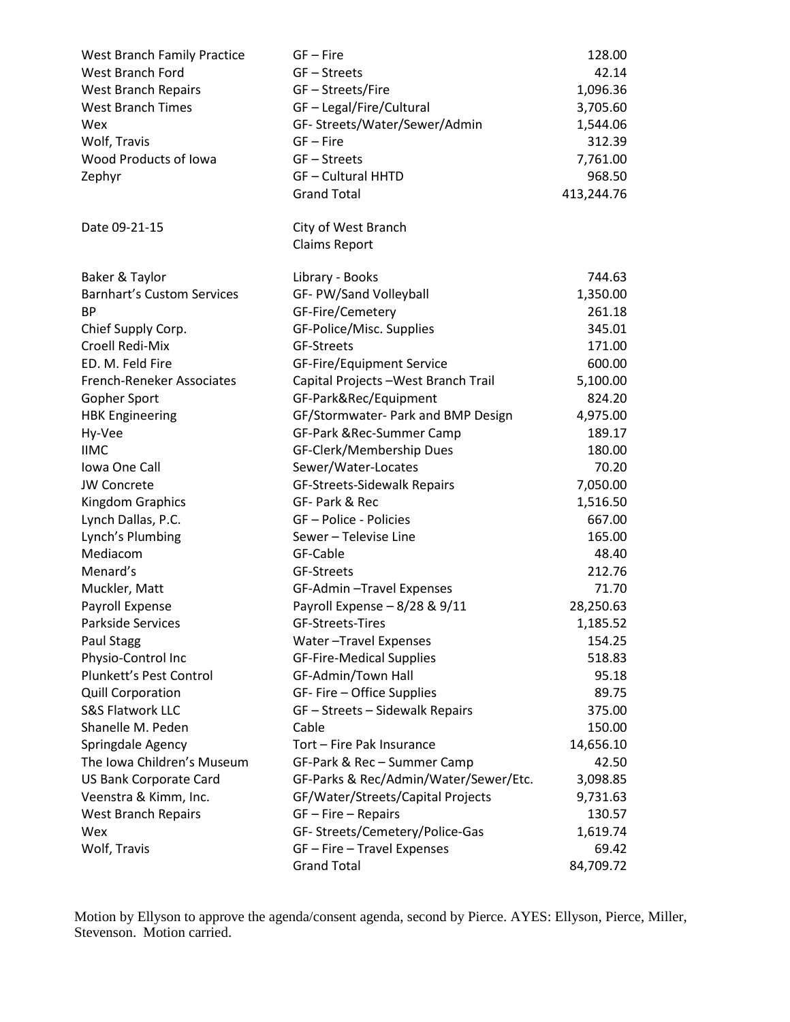| West Branch Family Practice       | $GF - Fire$                           | 128.00     |
|-----------------------------------|---------------------------------------|------------|
| West Branch Ford                  | GF-Streets                            | 42.14      |
| West Branch Repairs               | GF-Streets/Fire                       | 1,096.36   |
| <b>West Branch Times</b>          | GF-Legal/Fire/Cultural                | 3,705.60   |
| Wex                               | GF-Streets/Water/Sewer/Admin          | 1,544.06   |
| Wolf, Travis                      | GF-Fire                               | 312.39     |
| Wood Products of Iowa             | GF-Streets                            | 7,761.00   |
| Zephyr                            | <b>GF-Cultural HHTD</b>               | 968.50     |
|                                   | <b>Grand Total</b>                    | 413,244.76 |
| Date 09-21-15                     | City of West Branch                   |            |
|                                   | <b>Claims Report</b>                  |            |
| Baker & Taylor                    | Library - Books                       | 744.63     |
| <b>Barnhart's Custom Services</b> | GF- PW/Sand Volleyball                | 1,350.00   |
| <b>BP</b>                         | GF-Fire/Cemetery                      | 261.18     |
| Chief Supply Corp.                | GF-Police/Misc. Supplies              | 345.01     |
| Croell Redi-Mix                   | <b>GF-Streets</b>                     | 171.00     |
| ED. M. Feld Fire                  | GF-Fire/Equipment Service             | 600.00     |
| French-Reneker Associates         | Capital Projects - West Branch Trail  | 5,100.00   |
| Gopher Sport                      | GF-Park&Rec/Equipment                 | 824.20     |
| <b>HBK Engineering</b>            | GF/Stormwater- Park and BMP Design    | 4,975.00   |
| Hy-Vee                            | GF-Park & Rec-Summer Camp             | 189.17     |
| <b>IIMC</b>                       | GF-Clerk/Membership Dues              | 180.00     |
| Iowa One Call                     | Sewer/Water-Locates                   | 70.20      |
| <b>JW Concrete</b>                | GF-Streets-Sidewalk Repairs           | 7,050.00   |
| Kingdom Graphics                  | GF- Park & Rec                        | 1,516.50   |
| Lynch Dallas, P.C.                | GF-Police - Policies                  | 667.00     |
| Lynch's Plumbing                  | Sewer - Televise Line                 | 165.00     |
| Mediacom                          | GF-Cable                              | 48.40      |
| Menard's                          | <b>GF-Streets</b>                     | 212.76     |
| Muckler, Matt                     | GF-Admin-Travel Expenses              | 71.70      |
| Payroll Expense                   | Payroll Expense - 8/28 & 9/11         | 28,250.63  |
| Parkside Services                 | GF-Streets-Tires                      | 1,185.52   |
| Paul Stagg                        | Water-Travel Expenses                 | 154.25     |
| Physio-Control Inc                | <b>GF-Fire-Medical Supplies</b>       | 518.83     |
| Plunkett's Pest Control           | GF-Admin/Town Hall                    | 95.18      |
| <b>Quill Corporation</b>          | GF-Fire - Office Supplies             | 89.75      |
| S&S Flatwork LLC                  | GF - Streets - Sidewalk Repairs       | 375.00     |
| Shanelle M. Peden                 | Cable                                 | 150.00     |
| Springdale Agency                 | Tort - Fire Pak Insurance             | 14,656.10  |
| The Iowa Children's Museum        | GF-Park & Rec - Summer Camp           | 42.50      |
| <b>US Bank Corporate Card</b>     | GF-Parks & Rec/Admin/Water/Sewer/Etc. | 3,098.85   |
| Veenstra & Kimm, Inc.             | GF/Water/Streets/Capital Projects     | 9,731.63   |
| West Branch Repairs               | $GF - Fire - Repairs$                 | 130.57     |
| Wex                               | GF-Streets/Cemetery/Police-Gas        | 1,619.74   |
| Wolf, Travis                      | GF - Fire - Travel Expenses           | 69.42      |
|                                   | <b>Grand Total</b>                    | 84,709.72  |

Motion by Ellyson to approve the agenda/consent agenda, second by Pierce. AYES: Ellyson, Pierce, Miller, Stevenson. Motion carried.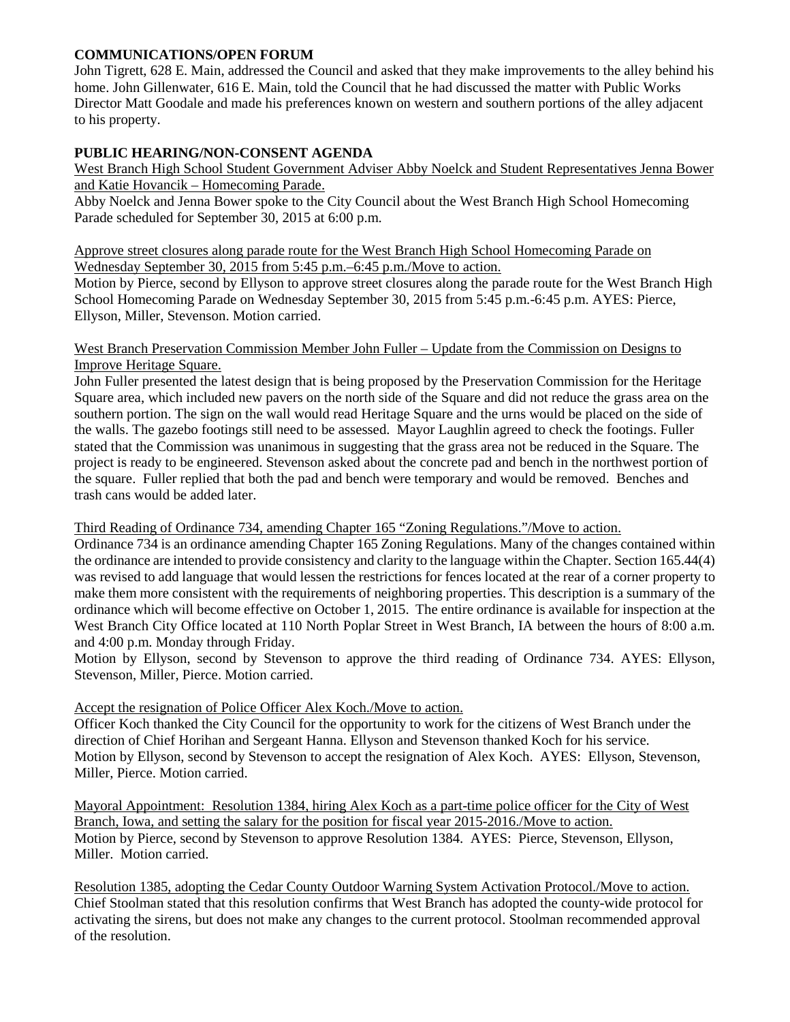## **COMMUNICATIONS/OPEN FORUM**

John Tigrett, 628 E. Main, addressed the Council and asked that they make improvements to the alley behind his home. John Gillenwater, 616 E. Main, told the Council that he had discussed the matter with Public Works Director Matt Goodale and made his preferences known on western and southern portions of the alley adjacent to his property.

# **PUBLIC HEARING/NON-CONSENT AGENDA**

West Branch High School Student Government Adviser Abby Noelck and Student Representatives Jenna Bower and Katie Hovancik – Homecoming Parade.

Abby Noelck and Jenna Bower spoke to the City Council about the West Branch High School Homecoming Parade scheduled for September 30, 2015 at 6:00 p.m.

#### Approve street closures along parade route for the West Branch High School Homecoming Parade on Wednesday September 30, 2015 from 5:45 p.m.–6:45 p.m./Move to action.

Motion by Pierce, second by Ellyson to approve street closures along the parade route for the West Branch High School Homecoming Parade on Wednesday September 30, 2015 from 5:45 p.m.-6:45 p.m. AYES: Pierce, Ellyson, Miller, Stevenson. Motion carried.

#### West Branch Preservation Commission Member John Fuller – Update from the Commission on Designs to Improve Heritage Square.

John Fuller presented the latest design that is being proposed by the Preservation Commission for the Heritage Square area, which included new pavers on the north side of the Square and did not reduce the grass area on the southern portion. The sign on the wall would read Heritage Square and the urns would be placed on the side of the walls. The gazebo footings still need to be assessed. Mayor Laughlin agreed to check the footings. Fuller stated that the Commission was unanimous in suggesting that the grass area not be reduced in the Square. The project is ready to be engineered. Stevenson asked about the concrete pad and bench in the northwest portion of the square. Fuller replied that both the pad and bench were temporary and would be removed. Benches and trash cans would be added later.

#### Third Reading of Ordinance 734, amending Chapter 165 "Zoning Regulations."/Move to action.

Ordinance 734 is an ordinance amending Chapter 165 Zoning Regulations. Many of the changes contained within the ordinance are intended to provide consistency and clarity to the language within the Chapter. Section 165.44(4) was revised to add language that would lessen the restrictions for fences located at the rear of a corner property to make them more consistent with the requirements of neighboring properties. This description is a summary of the ordinance which will become effective on October 1, 2015. The entire ordinance is available for inspection at the West Branch City Office located at 110 North Poplar Street in West Branch, IA between the hours of 8:00 a.m. and 4:00 p.m. Monday through Friday.

Motion by Ellyson, second by Stevenson to approve the third reading of Ordinance 734. AYES: Ellyson, Stevenson, Miller, Pierce. Motion carried.

# Accept the resignation of Police Officer Alex Koch./Move to action.

Officer Koch thanked the City Council for the opportunity to work for the citizens of West Branch under the direction of Chief Horihan and Sergeant Hanna. Ellyson and Stevenson thanked Koch for his service. Motion by Ellyson, second by Stevenson to accept the resignation of Alex Koch. AYES: Ellyson, Stevenson, Miller, Pierce. Motion carried.

Mayoral Appointment: Resolution 1384, hiring Alex Koch as a part-time police officer for the City of West Branch, Iowa, and setting the salary for the position for fiscal year 2015-2016./Move to action. Motion by Pierce, second by Stevenson to approve Resolution 1384. AYES: Pierce, Stevenson, Ellyson, Miller. Motion carried.

Resolution 1385, adopting the Cedar County Outdoor Warning System Activation Protocol./Move to action. Chief Stoolman stated that this resolution confirms that West Branch has adopted the county-wide protocol for activating the sirens, but does not make any changes to the current protocol. Stoolman recommended approval of the resolution.